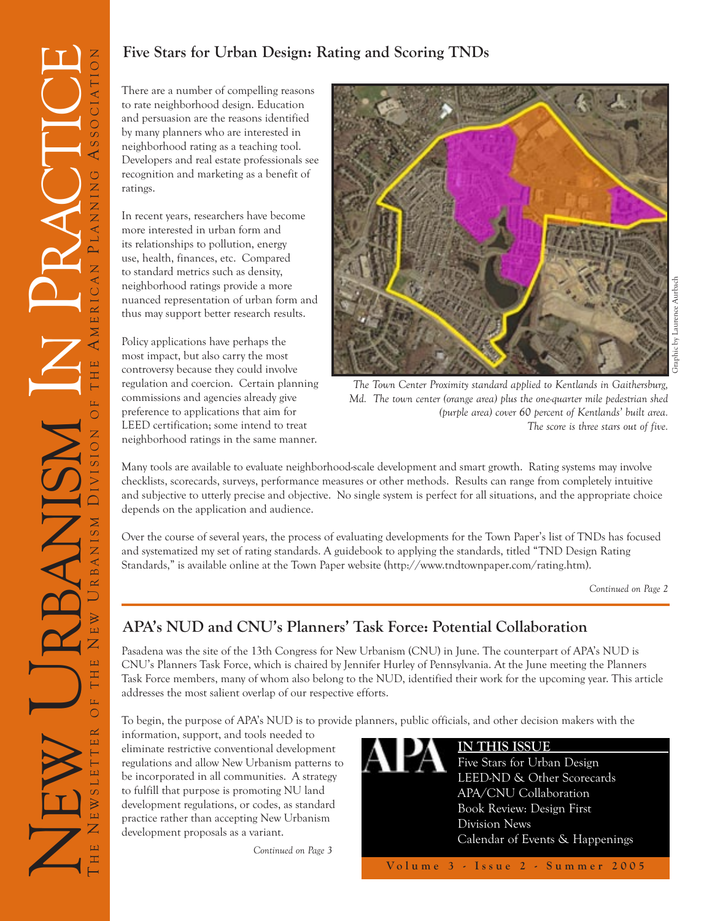# **Five Stars for Urban Design: Rating and Scoring TNDs**

There are a number of compelling reasons to rate neighborhood design. Education and persuasion are the reasons identified by many planners who are interested in neighborhood rating as a teaching tool. Developers and real estate professionals see recognition and marketing as a benefit of ratings.

In recent years, researchers have become more interested in urban form and its relationships to pollution, energy use, health, finances, etc. Compared to standard metrics such as density, neighborhood ratings provide a more nuanced representation of urban form and thus may support better research results.

Policy applications have perhaps the most impact, but also carry the most controversy because they could involve regulation and coercion. Certain planning commissions and agencies already give preference to applications that aim for LEED certification; some intend to treat neighborhood ratings in the same manner.



*The Town Center Proximity standard applied to Kentlands in Gaithersburg, Md. The town center (orange area) plus the one-quarter mile pedestrian shed (purple area) cover 60 percent of Kentlands' built area. The score is three stars out of five.*

Many tools are available to evaluate neighborhood-scale development and smart growth. Rating systems may involve checklists, scorecards, surveys, performance measures or other methods. Results can range from completely intuitive and subjective to utterly precise and objective. No single system is perfect for all situations, and the appropriate choice depends on the application and audience.

Over the course of several years, the process of evaluating developments for the Town Paper's list of TNDs has focused and systematized my set of rating standards. A guidebook to applying the standards, titled "TND Design Rating Standards," is available online at the Town Paper website (http://www.tndtownpaper.com/rating.htm).

*Continued on Page 2*

## **APA's NUD and CNU's Planners' Task Force: Potential Collaboration**

Pasadena was the site of the 13th Congress for New Urbanism (CNU) in June. The counterpart of APA's NUD is CNU's Planners Task Force, which is chaired by Jennifer Hurley of Pennsylvania. At the June meeting the Planners Task Force members, many of whom also belong to the NUD, identified their work for the upcoming year. This article addresses the most salient overlap of our respective efforts.

To begin, the purpose of APA's NUD is to provide planners, public officials, and other decision makers with the

information, support, and tools needed to eliminate restrictive conventional development regulations and allow New Urbanism patterns to be incorporated in all communities. A strategy to fulfill that purpose is promoting NU land development regulations, or codes, as standard practice rather than accepting New Urbanism development proposals as a variant.

*Continued on Page 3*

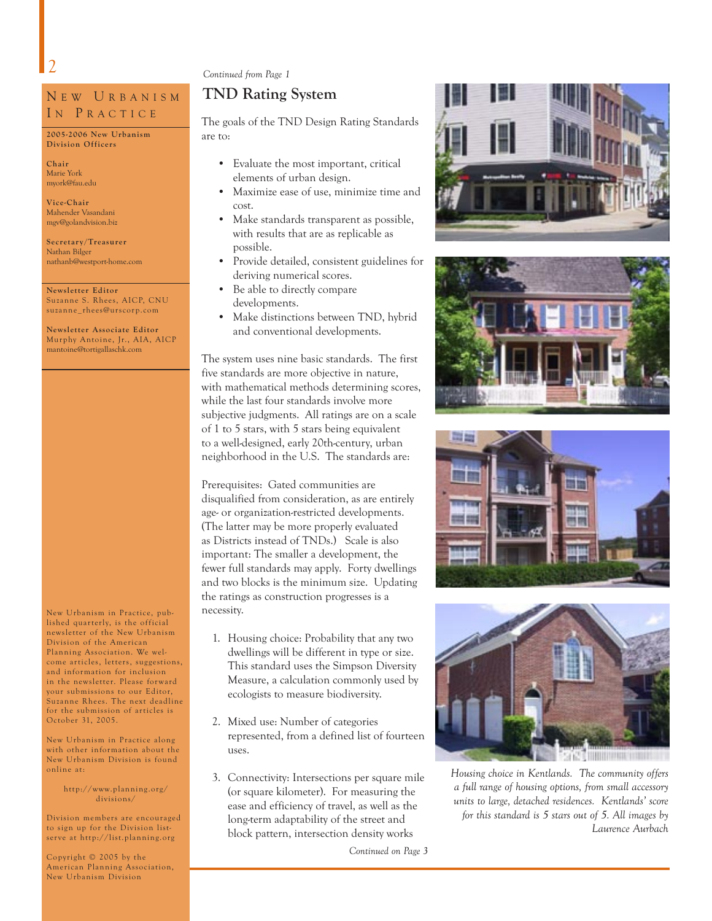**Chair** Marie York myork@fau.edu **Vice-Chair** Mahender Vasandani mgv@golandvision.biz **Secretar y/Treasurer** Nathan Bilger

N E W U R B A N I S M IN PRACTICE **2005-2006 New Urbanism Division Officers**

nathanb@westport-home.com

Suzanne S. Rhees, AICP, CNU suzanne\_rhees@urscorp.com **Newsletter Associate Editor** Murphy Antoine, Jr., AIA, AICP mantoine@tortigallaschk.com

**Newsletter Editor**

### *Continued from Page 1*

#### **TND Rating System**

The goals of the TND Design Rating Standards are to:

- Evaluate the most important, critical elements of urban design.
- Maximize ease of use, minimize time and cost.
- Make standards transparent as possible, with results that are as replicable as possible.
- Provide detailed, consistent guidelines for deriving numerical scores.
- Be able to directly compare developments.
- Make distinctions between TND, hybrid and conventional developments.

The system uses nine basic standards. The first five standards are more objective in nature, with mathematical methods determining scores, while the last four standards involve more subjective judgments. All ratings are on a scale of 1 to 5 stars, with 5 stars being equivalent to a well-designed, early 20th-century, urban neighborhood in the U.S. The standards are:

Prerequisites: Gated communities are disqualified from consideration, as are entirely age- or organization-restricted developments. (The latter may be more properly evaluated as Districts instead of TNDs.) Scale is also important: The smaller a development, the fewer full standards may apply. Forty dwellings and two blocks is the minimum size. Updating the ratings as construction progresses is a necessity.

- 1. Housing choice: Probability that any two dwellings will be different in type or size. This standard uses the Simpson Diversity Measure, a calculation commonly used by ecologists to measure biodiversity.
- 2. Mixed use: Number of categories represented, from a defined list of fourteen uses.
- 3. Connectivity: Intersections per square mile (or square kilometer). For measuring the ease and efficiency of travel, as well as the long-term adaptability of the street and block pattern, intersection density works

*Continued on Page 3*









*Housing choice in Kentlands. The community offers a full range of housing options, from small accessory units to large, detached residences. Kentlands' score for this standard is 5 stars out of 5. All images by Laurence Aurbach*

Copyright © 2005 by the American Planning Association, New Urbanism Division

New Urbanism in Practice, published quarterly, is the official newsletter of the New Urbanism Division of the American Planning Association. We welcome articles, letters, suggestions, and information for inclusion in the newsletter. Please for ward your submissions to our Editor, Suzanne Rhees. The next deadline for the submission of articles is

New Urbanism in Practice along with other information about the New Urbanism Division is found online at:

> http://www.planning.org/ divisions/

Division members are encouraged to sign up for the Division listserve at http://list.planning.org

October 31, 2005.